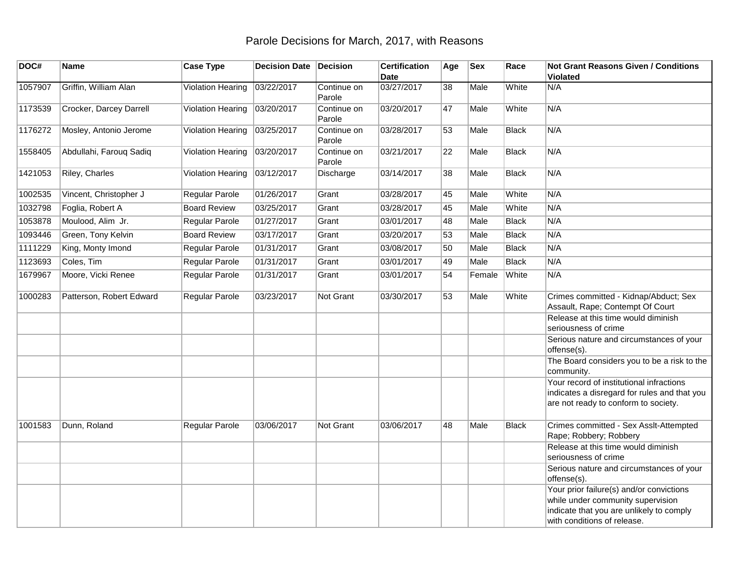## Parole Decisions for March, 2017, with Reasons

| DOC#    | Name                     | <b>Case Type</b>         | Decision Date Decision |                       | <b>Certification</b><br><b>Date</b> | Age | <b>Sex</b> | Race         | <b>Not Grant Reasons Given / Conditions</b><br><b>Violated</b>                                                                                           |
|---------|--------------------------|--------------------------|------------------------|-----------------------|-------------------------------------|-----|------------|--------------|----------------------------------------------------------------------------------------------------------------------------------------------------------|
| 1057907 | Griffin, William Alan    | Violation Hearing        | 03/22/2017             | Continue on<br>Parole | 03/27/2017                          | 38  | Male       | White        | N/A                                                                                                                                                      |
| 1173539 | Crocker, Darcey Darrell  | Violation Hearing        | 03/20/2017             | Continue on<br>Parole | 03/20/2017                          | 47  | Male       | White        | N/A                                                                                                                                                      |
| 1176272 | Mosley, Antonio Jerome   | <b>Violation Hearing</b> | 03/25/2017             | Continue on<br>Parole | 03/28/2017                          | 53  | Male       | <b>Black</b> | N/A                                                                                                                                                      |
| 1558405 | Abdullahi, Farouq Sadiq  | Violation Hearing        | 03/20/2017             | Continue on<br>Parole | 03/21/2017                          | 22  | Male       | <b>Black</b> | N/A                                                                                                                                                      |
| 1421053 | Riley, Charles           | Violation Hearing        | 03/12/2017             | Discharge             | 03/14/2017                          | 38  | Male       | <b>Black</b> | N/A                                                                                                                                                      |
| 1002535 | Vincent, Christopher J   | Regular Parole           | 01/26/2017             | Grant                 | 03/28/2017                          | 45  | Male       | White        | N/A                                                                                                                                                      |
| 1032798 | Foglia, Robert A         | <b>Board Review</b>      | 03/25/2017             | Grant                 | 03/28/2017                          | 45  | Male       | White        | N/A                                                                                                                                                      |
| 1053878 | Moulood, Alim Jr.        | Regular Parole           | 01/27/2017             | Grant                 | 03/01/2017                          | 48  | Male       | <b>Black</b> | N/A                                                                                                                                                      |
| 1093446 | Green, Tony Kelvin       | <b>Board Review</b>      | 03/17/2017             | Grant                 | 03/20/2017                          | 53  | Male       | <b>Black</b> | N/A                                                                                                                                                      |
| 1111229 | King, Monty Imond        | <b>Regular Parole</b>    | 01/31/2017             | Grant                 | 03/08/2017                          | 50  | Male       | <b>Black</b> | N/A                                                                                                                                                      |
| 1123693 | Coles, Tim               | <b>Regular Parole</b>    | 01/31/2017             | Grant                 | 03/01/2017                          | 49  | Male       | <b>Black</b> | N/A                                                                                                                                                      |
| 1679967 | Moore, Vicki Renee       | Regular Parole           | 01/31/2017             | Grant                 | 03/01/2017                          | 54  | Female     | White        | N/A                                                                                                                                                      |
| 1000283 | Patterson, Robert Edward | Regular Parole           | 03/23/2017             | <b>Not Grant</b>      | 03/30/2017                          | 53  | Male       | White        | Crimes committed - Kidnap/Abduct; Sex<br>Assault, Rape; Contempt Of Court                                                                                |
|         |                          |                          |                        |                       |                                     |     |            |              | Release at this time would diminish<br>seriousness of crime                                                                                              |
|         |                          |                          |                        |                       |                                     |     |            |              | Serious nature and circumstances of your<br>offense(s).                                                                                                  |
|         |                          |                          |                        |                       |                                     |     |            |              | The Board considers you to be a risk to the<br>community.                                                                                                |
|         |                          |                          |                        |                       |                                     |     |            |              | Your record of institutional infractions<br>indicates a disregard for rules and that you<br>are not ready to conform to society.                         |
| 1001583 | Dunn, Roland             | Regular Parole           | 03/06/2017             | <b>Not Grant</b>      | 03/06/2017                          | 48  | Male       | <b>Black</b> | Crimes committed - Sex Asslt-Attempted<br>Rape; Robbery; Robbery                                                                                         |
|         |                          |                          |                        |                       |                                     |     |            |              | Release at this time would diminish<br>seriousness of crime                                                                                              |
|         |                          |                          |                        |                       |                                     |     |            |              | Serious nature and circumstances of your<br>offense(s).                                                                                                  |
|         |                          |                          |                        |                       |                                     |     |            |              | Your prior failure(s) and/or convictions<br>while under community supervision<br>indicate that you are unlikely to comply<br>with conditions of release. |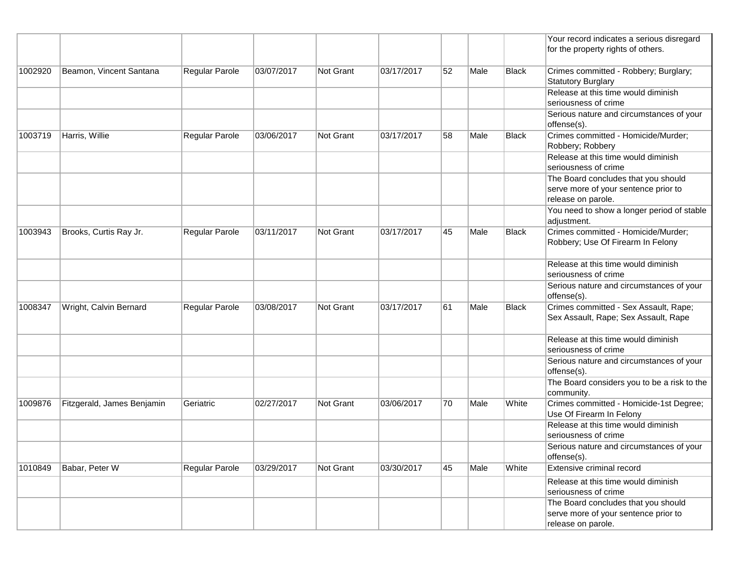|         |                            |                |            |                  |            |    |      |              | Your record indicates a serious disregard<br>for the property rights of others.                   |
|---------|----------------------------|----------------|------------|------------------|------------|----|------|--------------|---------------------------------------------------------------------------------------------------|
| 1002920 | Beamon, Vincent Santana    | Regular Parole | 03/07/2017 | Not Grant        | 03/17/2017 | 52 | Male | Black        | Crimes committed - Robbery; Burglary;<br><b>Statutory Burglary</b>                                |
|         |                            |                |            |                  |            |    |      |              | Release at this time would diminish<br>seriousness of crime                                       |
|         |                            |                |            |                  |            |    |      |              | Serious nature and circumstances of your<br>offense(s).                                           |
| 1003719 | Harris, Willie             | Regular Parole | 03/06/2017 | <b>Not Grant</b> | 03/17/2017 | 58 | Male | <b>Black</b> | Crimes committed - Homicide/Murder;<br>Robbery; Robbery                                           |
|         |                            |                |            |                  |            |    |      |              | Release at this time would diminish<br>seriousness of crime                                       |
|         |                            |                |            |                  |            |    |      |              | The Board concludes that you should<br>serve more of your sentence prior to<br>release on parole. |
|         |                            |                |            |                  |            |    |      |              | You need to show a longer period of stable<br>adjustment.                                         |
| 1003943 | Brooks, Curtis Ray Jr.     | Regular Parole | 03/11/2017 | Not Grant        | 03/17/2017 | 45 | Male | <b>Black</b> | Crimes committed - Homicide/Murder;<br>Robbery; Use Of Firearm In Felony                          |
|         |                            |                |            |                  |            |    |      |              | Release at this time would diminish<br>seriousness of crime                                       |
|         |                            |                |            |                  |            |    |      |              | Serious nature and circumstances of your<br>offense(s).                                           |
| 1008347 | Wright, Calvin Bernard     | Regular Parole | 03/08/2017 | Not Grant        | 03/17/2017 | 61 | Male | <b>Black</b> | Crimes committed - Sex Assault, Rape;<br>Sex Assault, Rape; Sex Assault, Rape                     |
|         |                            |                |            |                  |            |    |      |              | Release at this time would diminish<br>seriousness of crime                                       |
|         |                            |                |            |                  |            |    |      |              | Serious nature and circumstances of your<br>offense(s).                                           |
|         |                            |                |            |                  |            |    |      |              | The Board considers you to be a risk to the<br>community.                                         |
| 1009876 | Fitzgerald, James Benjamin | Geriatric      | 02/27/2017 | <b>Not Grant</b> | 03/06/2017 | 70 | Male | White        | Crimes committed - Homicide-1st Degree;<br>Use Of Firearm In Felony                               |
|         |                            |                |            |                  |            |    |      |              | Release at this time would diminish<br>seriousness of crime                                       |
|         |                            |                |            |                  |            |    |      |              | Serious nature and circumstances of your<br>offense(s).                                           |
| 1010849 | Babar, Peter W             | Regular Parole | 03/29/2017 | Not Grant        | 03/30/2017 | 45 | Male | White        | Extensive criminal record                                                                         |
|         |                            |                |            |                  |            |    |      |              | Release at this time would diminish<br>seriousness of crime                                       |
|         |                            |                |            |                  |            |    |      |              | The Board concludes that you should<br>serve more of your sentence prior to<br>release on parole. |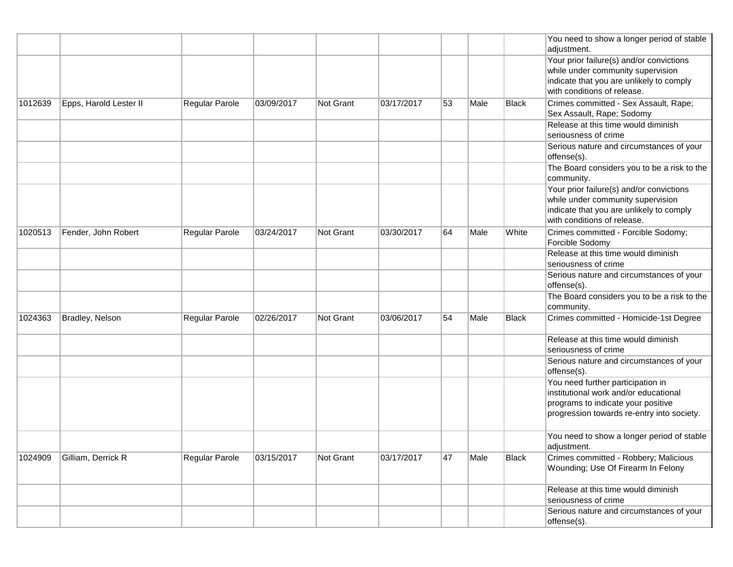|         |                        |                |            |                  |            |    |      |              | You need to show a longer period of stable<br>adjustment.                                                                                                      |
|---------|------------------------|----------------|------------|------------------|------------|----|------|--------------|----------------------------------------------------------------------------------------------------------------------------------------------------------------|
|         |                        |                |            |                  |            |    |      |              | Your prior failure(s) and/or convictions<br>while under community supervision<br>indicate that you are unlikely to comply<br>with conditions of release.       |
| 1012639 | Epps, Harold Lester II | Regular Parole | 03/09/2017 | Not Grant        | 03/17/2017 | 53 | Male | <b>Black</b> | Crimes committed - Sex Assault, Rape;<br>Sex Assault, Rape; Sodomy                                                                                             |
|         |                        |                |            |                  |            |    |      |              | Release at this time would diminish<br>seriousness of crime                                                                                                    |
|         |                        |                |            |                  |            |    |      |              | Serious nature and circumstances of your<br>offense(s).                                                                                                        |
|         |                        |                |            |                  |            |    |      |              | The Board considers you to be a risk to the<br>community.                                                                                                      |
|         |                        |                |            |                  |            |    |      |              | Your prior failure(s) and/or convictions<br>while under community supervision<br>indicate that you are unlikely to comply<br>with conditions of release.       |
| 1020513 | Fender, John Robert    | Regular Parole | 03/24/2017 | <b>Not Grant</b> | 03/30/2017 | 64 | Male | White        | Crimes committed - Forcible Sodomy;<br>Forcible Sodomy                                                                                                         |
|         |                        |                |            |                  |            |    |      |              | Release at this time would diminish<br>seriousness of crime                                                                                                    |
|         |                        |                |            |                  |            |    |      |              | Serious nature and circumstances of your<br>offense(s).                                                                                                        |
|         |                        |                |            |                  |            |    |      |              | The Board considers you to be a risk to the<br>community.                                                                                                      |
| 1024363 | Bradley, Nelson        | Regular Parole | 02/26/2017 | Not Grant        | 03/06/2017 | 54 | Male | <b>Black</b> | Crimes committed - Homicide-1st Degree                                                                                                                         |
|         |                        |                |            |                  |            |    |      |              | Release at this time would diminish<br>seriousness of crime                                                                                                    |
|         |                        |                |            |                  |            |    |      |              | Serious nature and circumstances of your<br>offense(s).                                                                                                        |
|         |                        |                |            |                  |            |    |      |              | You need further participation in<br>institutional work and/or educational<br>programs to indicate your positive<br>progression towards re-entry into society. |
|         |                        |                |            |                  |            |    |      |              | You need to show a longer period of stable<br>adjustment.                                                                                                      |
| 1024909 | Gilliam, Derrick R     | Regular Parole | 03/15/2017 | Not Grant        | 03/17/2017 | 47 | Male | <b>Black</b> | Crimes committed - Robbery; Malicious<br>Wounding; Use Of Firearm In Felony                                                                                    |
|         |                        |                |            |                  |            |    |      |              | Release at this time would diminish<br>seriousness of crime                                                                                                    |
|         |                        |                |            |                  |            |    |      |              | Serious nature and circumstances of your<br>offense(s).                                                                                                        |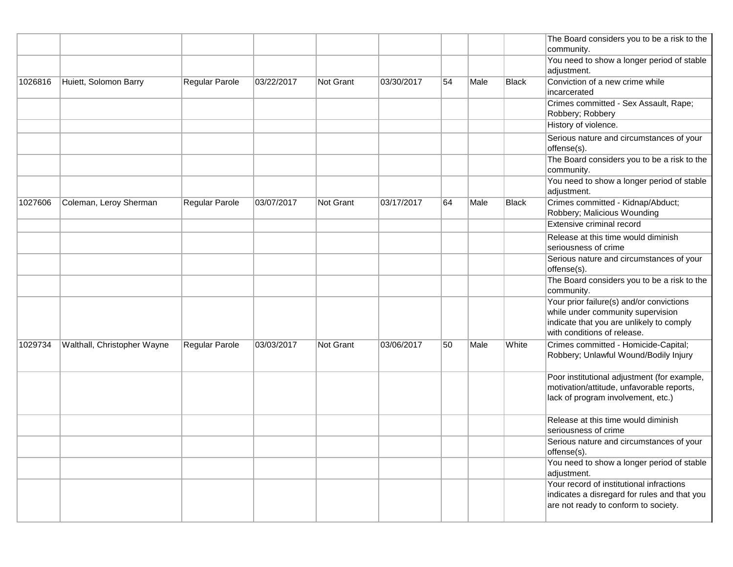|         |                             |                |            |                  |            |    |      |              | The Board considers you to be a risk to the                                                                                                              |
|---------|-----------------------------|----------------|------------|------------------|------------|----|------|--------------|----------------------------------------------------------------------------------------------------------------------------------------------------------|
|         |                             |                |            |                  |            |    |      |              | community.<br>You need to show a longer period of stable                                                                                                 |
|         |                             |                |            |                  |            |    |      |              | adjustment.                                                                                                                                              |
| 1026816 | Huiett, Solomon Barry       | Regular Parole | 03/22/2017 | <b>Not Grant</b> | 03/30/2017 | 54 | Male | Black        | Conviction of a new crime while<br>incarcerated                                                                                                          |
|         |                             |                |            |                  |            |    |      |              | Crimes committed - Sex Assault, Rape;<br>Robbery; Robbery                                                                                                |
|         |                             |                |            |                  |            |    |      |              | History of violence.                                                                                                                                     |
|         |                             |                |            |                  |            |    |      |              | Serious nature and circumstances of your<br>offense(s).                                                                                                  |
|         |                             |                |            |                  |            |    |      |              | The Board considers you to be a risk to the<br>community.                                                                                                |
|         |                             |                |            |                  |            |    |      |              | You need to show a longer period of stable<br>adjustment.                                                                                                |
| 1027606 | Coleman, Leroy Sherman      | Regular Parole | 03/07/2017 | Not Grant        | 03/17/2017 | 64 | Male | <b>Black</b> | Crimes committed - Kidnap/Abduct;<br>Robbery; Malicious Wounding                                                                                         |
|         |                             |                |            |                  |            |    |      |              | Extensive criminal record                                                                                                                                |
|         |                             |                |            |                  |            |    |      |              | Release at this time would diminish<br>seriousness of crime                                                                                              |
|         |                             |                |            |                  |            |    |      |              | Serious nature and circumstances of your<br>offense(s).                                                                                                  |
|         |                             |                |            |                  |            |    |      |              | The Board considers you to be a risk to the<br>community.                                                                                                |
|         |                             |                |            |                  |            |    |      |              | Your prior failure(s) and/or convictions<br>while under community supervision<br>indicate that you are unlikely to comply<br>with conditions of release. |
| 1029734 | Walthall, Christopher Wayne | Regular Parole | 03/03/2017 | <b>Not Grant</b> | 03/06/2017 | 50 | Male | White        | Crimes committed - Homicide-Capital;<br>Robbery; Unlawful Wound/Bodily Injury                                                                            |
|         |                             |                |            |                  |            |    |      |              | Poor institutional adjustment (for example,<br>motivation/attitude, unfavorable reports,<br>lack of program involvement, etc.)                           |
|         |                             |                |            |                  |            |    |      |              | Release at this time would diminish<br>seriousness of crime                                                                                              |
|         |                             |                |            |                  |            |    |      |              | Serious nature and circumstances of your<br>offense(s).                                                                                                  |
|         |                             |                |            |                  |            |    |      |              | You need to show a longer period of stable<br>adjustment.                                                                                                |
|         |                             |                |            |                  |            |    |      |              | Your record of institutional infractions<br>indicates a disregard for rules and that you<br>are not ready to conform to society.                         |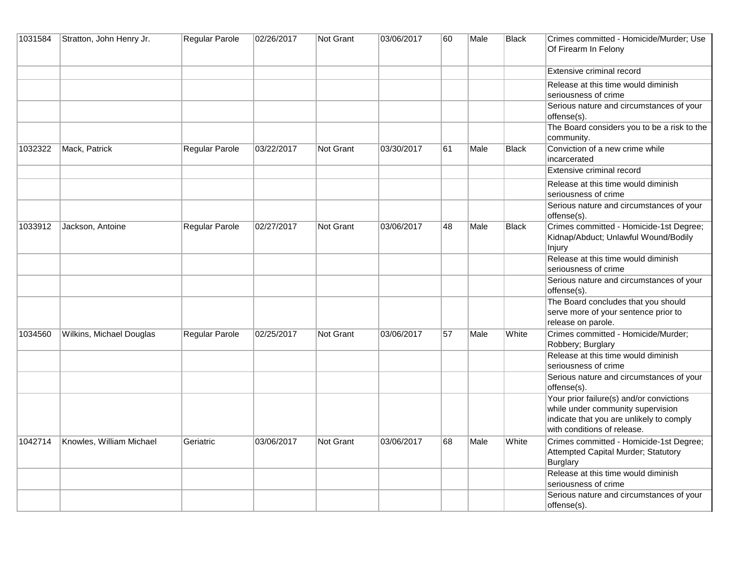| 1031584 | Stratton, John Henry Jr. | Regular Parole        | 02/26/2017 | <b>Not Grant</b> | 03/06/2017 | 60 | Male | Black        | Crimes committed - Homicide/Murder; Use<br>Of Firearm In Felony                                                                                          |
|---------|--------------------------|-----------------------|------------|------------------|------------|----|------|--------------|----------------------------------------------------------------------------------------------------------------------------------------------------------|
|         |                          |                       |            |                  |            |    |      |              | Extensive criminal record                                                                                                                                |
|         |                          |                       |            |                  |            |    |      |              | Release at this time would diminish<br>seriousness of crime                                                                                              |
|         |                          |                       |            |                  |            |    |      |              | Serious nature and circumstances of your<br>offense(s).                                                                                                  |
|         |                          |                       |            |                  |            |    |      |              | The Board considers you to be a risk to the<br>community.                                                                                                |
| 1032322 | Mack, Patrick            | <b>Regular Parole</b> | 03/22/2017 | Not Grant        | 03/30/2017 | 61 | Male | <b>Black</b> | Conviction of a new crime while<br>incarcerated                                                                                                          |
|         |                          |                       |            |                  |            |    |      |              | Extensive criminal record                                                                                                                                |
|         |                          |                       |            |                  |            |    |      |              | Release at this time would diminish<br>seriousness of crime                                                                                              |
|         |                          |                       |            |                  |            |    |      |              | Serious nature and circumstances of your<br>offense(s).                                                                                                  |
| 1033912 | Jackson, Antoine         | Regular Parole        | 02/27/2017 | <b>Not Grant</b> | 03/06/2017 | 48 | Male | <b>Black</b> | Crimes committed - Homicide-1st Degree;<br>Kidnap/Abduct; Unlawful Wound/Bodily<br>Injury                                                                |
|         |                          |                       |            |                  |            |    |      |              | Release at this time would diminish<br>seriousness of crime                                                                                              |
|         |                          |                       |            |                  |            |    |      |              | Serious nature and circumstances of your<br>offense(s).                                                                                                  |
|         |                          |                       |            |                  |            |    |      |              | The Board concludes that you should<br>serve more of your sentence prior to<br>release on parole.                                                        |
| 1034560 | Wilkins, Michael Douglas | <b>Regular Parole</b> | 02/25/2017 | <b>Not Grant</b> | 03/06/2017 | 57 | Male | White        | Crimes committed - Homicide/Murder;<br>Robbery; Burglary                                                                                                 |
|         |                          |                       |            |                  |            |    |      |              | Release at this time would diminish<br>seriousness of crime                                                                                              |
|         |                          |                       |            |                  |            |    |      |              | Serious nature and circumstances of your<br>offense(s).                                                                                                  |
|         |                          |                       |            |                  |            |    |      |              | Your prior failure(s) and/or convictions<br>while under community supervision<br>indicate that you are unlikely to comply<br>with conditions of release. |
| 1042714 | Knowles, William Michael | Geriatric             | 03/06/2017 | Not Grant        | 03/06/2017 | 68 | Male | White        | Crimes committed - Homicide-1st Degree;<br>Attempted Capital Murder; Statutory<br><b>Burglary</b>                                                        |
|         |                          |                       |            |                  |            |    |      |              | Release at this time would diminish<br>seriousness of crime                                                                                              |
|         |                          |                       |            |                  |            |    |      |              | Serious nature and circumstances of your<br>offense(s).                                                                                                  |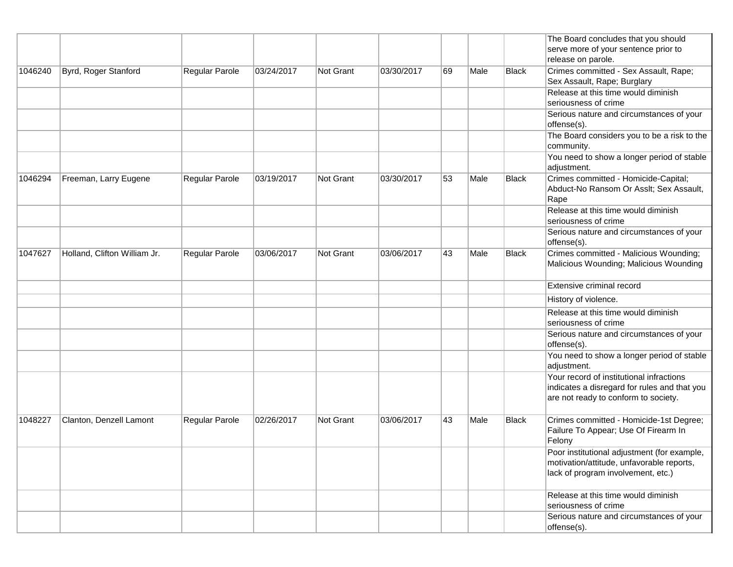|                                  |                              |                |                  |                  |            |      |              |                                      | The Board concludes that you should                                                                                              |
|----------------------------------|------------------------------|----------------|------------------|------------------|------------|------|--------------|--------------------------------------|----------------------------------------------------------------------------------------------------------------------------------|
|                                  |                              |                |                  |                  |            |      |              |                                      | serve more of your sentence prior to                                                                                             |
|                                  |                              |                |                  |                  |            |      |              |                                      | release on parole.                                                                                                               |
| 1046240                          | Byrd, Roger Stanford         | Regular Parole | 03/24/2017       | <b>Not Grant</b> | 03/30/2017 | 69   | Male         | <b>Black</b>                         | Crimes committed - Sex Assault, Rape;                                                                                            |
|                                  |                              |                |                  |                  |            |      |              |                                      | Sex Assault, Rape; Burglary                                                                                                      |
|                                  |                              |                |                  |                  |            |      |              |                                      | Release at this time would diminish                                                                                              |
|                                  |                              |                |                  |                  |            |      |              |                                      | seriousness of crime                                                                                                             |
|                                  |                              |                |                  |                  |            |      |              |                                      | Serious nature and circumstances of your<br>offense(s).                                                                          |
|                                  |                              |                |                  |                  |            |      |              |                                      | The Board considers you to be a risk to the<br>community.                                                                        |
|                                  |                              |                |                  |                  |            |      |              |                                      | You need to show a longer period of stable<br>adjustment.                                                                        |
| 1046294<br>Freeman, Larry Eugene | Regular Parole               | 03/19/2017     | <b>Not Grant</b> | 03/30/2017       | 53         | Male | <b>Black</b> | Crimes committed - Homicide-Capital; |                                                                                                                                  |
|                                  |                              |                |                  |                  |            |      |              |                                      | Abduct-No Ransom Or Asslt; Sex Assault,<br>Rape                                                                                  |
|                                  |                              |                |                  |                  |            |      |              |                                      | Release at this time would diminish<br>seriousness of crime                                                                      |
|                                  |                              |                |                  |                  |            |      |              |                                      | Serious nature and circumstances of your<br>offense(s).                                                                          |
| 1047627                          | Holland, Clifton William Jr. | Regular Parole | 03/06/2017       | Not Grant        | 03/06/2017 | 43   | Male         | <b>Black</b>                         | Crimes committed - Malicious Wounding;<br>Malicious Wounding; Malicious Wounding                                                 |
|                                  |                              |                |                  |                  |            |      |              |                                      | Extensive criminal record                                                                                                        |
|                                  |                              |                |                  |                  |            |      |              |                                      | History of violence.                                                                                                             |
|                                  |                              |                |                  |                  |            |      |              |                                      | Release at this time would diminish<br>seriousness of crime                                                                      |
|                                  |                              |                |                  |                  |            |      |              |                                      | Serious nature and circumstances of your<br>offense(s).                                                                          |
|                                  |                              |                |                  |                  |            |      |              |                                      | You need to show a longer period of stable<br>adjustment.                                                                        |
|                                  |                              |                |                  |                  |            |      |              |                                      | Your record of institutional infractions<br>indicates a disregard for rules and that you<br>are not ready to conform to society. |
| 1048227                          | Clanton, Denzell Lamont      | Regular Parole | 02/26/2017       | Not Grant        | 03/06/2017 | 43   | Male         | <b>Black</b>                         | Crimes committed - Homicide-1st Degree;<br>Failure To Appear; Use Of Firearm In<br>Felony                                        |
|                                  |                              |                |                  |                  |            |      |              |                                      | Poor institutional adjustment (for example,<br>motivation/attitude, unfavorable reports,<br>lack of program involvement, etc.)   |
|                                  |                              |                |                  |                  |            |      |              |                                      | Release at this time would diminish<br>seriousness of crime                                                                      |
|                                  |                              |                |                  |                  |            |      |              |                                      | Serious nature and circumstances of your<br>offense(s).                                                                          |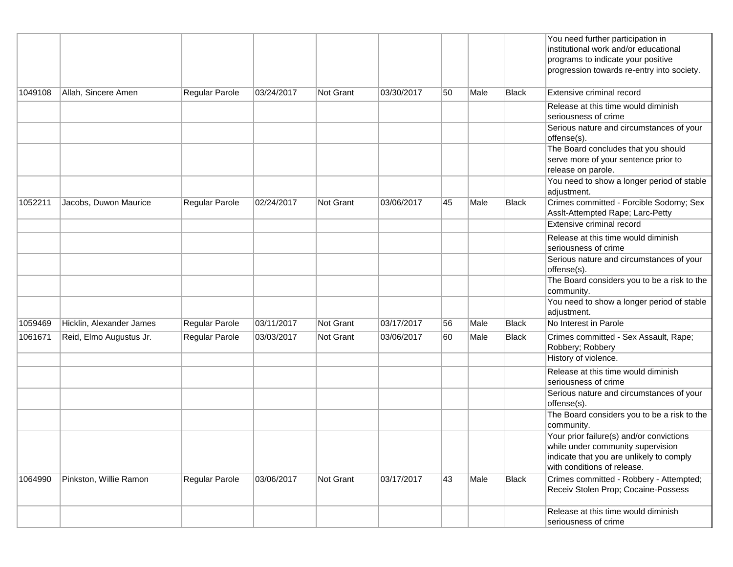|         |                          |                       |            |                  |            |    |      |              | You need further participation in<br>institutional work and/or educational<br>programs to indicate your positive<br>progression towards re-entry into society. |
|---------|--------------------------|-----------------------|------------|------------------|------------|----|------|--------------|----------------------------------------------------------------------------------------------------------------------------------------------------------------|
| 1049108 | Allah, Sincere Amen      | Regular Parole        | 03/24/2017 | <b>Not Grant</b> | 03/30/2017 | 50 | Male | <b>Black</b> | Extensive criminal record                                                                                                                                      |
|         |                          |                       |            |                  |            |    |      |              | Release at this time would diminish<br>seriousness of crime                                                                                                    |
|         |                          |                       |            |                  |            |    |      |              | Serious nature and circumstances of your<br>offense(s).                                                                                                        |
|         |                          |                       |            |                  |            |    |      |              | The Board concludes that you should<br>serve more of your sentence prior to<br>release on parole.                                                              |
|         |                          |                       |            |                  |            |    |      |              | You need to show a longer period of stable<br>adjustment.                                                                                                      |
| 1052211 | Jacobs, Duwon Maurice    | Regular Parole        | 02/24/2017 | <b>Not Grant</b> | 03/06/2017 | 45 | Male | <b>Black</b> | Crimes committed - Forcible Sodomy; Sex<br>Asslt-Attempted Rape; Larc-Petty                                                                                    |
|         |                          |                       |            |                  |            |    |      |              | Extensive criminal record                                                                                                                                      |
|         |                          |                       |            |                  |            |    |      |              | Release at this time would diminish<br>seriousness of crime                                                                                                    |
|         |                          |                       |            |                  |            |    |      |              | Serious nature and circumstances of your<br>offense(s).                                                                                                        |
|         |                          |                       |            |                  |            |    |      |              | The Board considers you to be a risk to the<br>community.                                                                                                      |
|         |                          |                       |            |                  |            |    |      |              | You need to show a longer period of stable<br>adjustment.                                                                                                      |
| 1059469 | Hicklin, Alexander James | Regular Parole        | 03/11/2017 | <b>Not Grant</b> | 03/17/2017 | 56 | Male | <b>Black</b> | No Interest in Parole                                                                                                                                          |
| 1061671 | Reid, Elmo Augustus Jr.  | Regular Parole        | 03/03/2017 | Not Grant        | 03/06/2017 | 60 | Male | <b>Black</b> | Crimes committed - Sex Assault, Rape;<br>Robbery; Robbery                                                                                                      |
|         |                          |                       |            |                  |            |    |      |              | History of violence.                                                                                                                                           |
|         |                          |                       |            |                  |            |    |      |              | Release at this time would diminish<br>seriousness of crime                                                                                                    |
|         |                          |                       |            |                  |            |    |      |              | Serious nature and circumstances of your<br>offense(s).                                                                                                        |
|         |                          |                       |            |                  |            |    |      |              | The Board considers you to be a risk to the<br>community.                                                                                                      |
|         |                          |                       |            |                  |            |    |      |              | Your prior failure(s) and/or convictions<br>while under community supervision<br>indicate that you are unlikely to comply<br>with conditions of release.       |
| 1064990 | Pinkston, Willie Ramon   | <b>Regular Parole</b> | 03/06/2017 | Not Grant        | 03/17/2017 | 43 | Male | <b>Black</b> | Crimes committed - Robbery - Attempted;<br>Receiv Stolen Prop; Cocaine-Possess                                                                                 |
|         |                          |                       |            |                  |            |    |      |              | Release at this time would diminish<br>seriousness of crime                                                                                                    |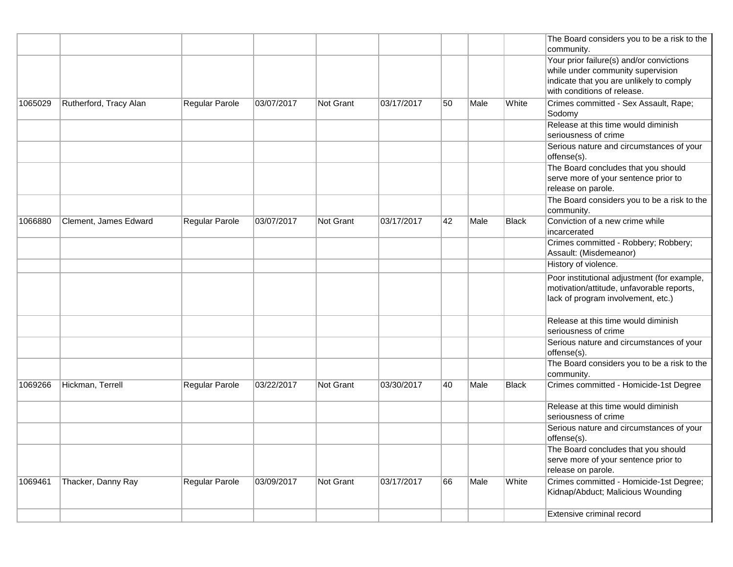|         |                        |                |            |           |            |    |      |       | The Board considers you to be a risk to the<br>community.                                                                                                |
|---------|------------------------|----------------|------------|-----------|------------|----|------|-------|----------------------------------------------------------------------------------------------------------------------------------------------------------|
|         |                        |                |            |           |            |    |      |       | Your prior failure(s) and/or convictions<br>while under community supervision<br>indicate that you are unlikely to comply<br>with conditions of release. |
| 1065029 | Rutherford, Tracy Alan | Regular Parole | 03/07/2017 | Not Grant | 03/17/2017 | 50 | Male | White | Crimes committed - Sex Assault, Rape;<br>Sodomy                                                                                                          |
|         |                        |                |            |           |            |    |      |       | Release at this time would diminish<br>seriousness of crime                                                                                              |
|         |                        |                |            |           |            |    |      |       | Serious nature and circumstances of your<br>offense(s).                                                                                                  |
|         |                        |                |            |           |            |    |      |       | The Board concludes that you should<br>serve more of your sentence prior to<br>release on parole.                                                        |
|         |                        |                |            |           |            |    |      |       | The Board considers you to be a risk to the<br>community.                                                                                                |
| 1066880 | Clement, James Edward  | Regular Parole | 03/07/2017 | Not Grant | 03/17/2017 | 42 | Male | Black | Conviction of a new crime while<br>incarcerated                                                                                                          |
|         |                        |                |            |           |            |    |      |       | Crimes committed - Robbery; Robbery;<br>Assault: (Misdemeanor)                                                                                           |
|         |                        |                |            |           |            |    |      |       | History of violence.                                                                                                                                     |
|         |                        |                |            |           |            |    |      |       | Poor institutional adjustment (for example,<br>motivation/attitude, unfavorable reports,<br>lack of program involvement, etc.)                           |
|         |                        |                |            |           |            |    |      |       | Release at this time would diminish<br>seriousness of crime                                                                                              |
|         |                        |                |            |           |            |    |      |       | Serious nature and circumstances of your<br>offense(s).                                                                                                  |
|         |                        |                |            |           |            |    |      |       | The Board considers you to be a risk to the<br>community.                                                                                                |
| 1069266 | Hickman, Terrell       | Regular Parole | 03/22/2017 | Not Grant | 03/30/2017 | 40 | Male | Black | Crimes committed - Homicide-1st Degree                                                                                                                   |
|         |                        |                |            |           |            |    |      |       | Release at this time would diminish<br>seriousness of crime                                                                                              |
|         |                        |                |            |           |            |    |      |       | Serious nature and circumstances of your<br>offense(s).                                                                                                  |
|         |                        |                |            |           |            |    |      |       | The Board concludes that you should<br>serve more of your sentence prior to<br>release on parole.                                                        |
| 1069461 | Thacker, Danny Ray     | Regular Parole | 03/09/2017 | Not Grant | 03/17/2017 | 66 | Male | White | Crimes committed - Homicide-1st Degree;<br>Kidnap/Abduct; Malicious Wounding                                                                             |
|         |                        |                |            |           |            |    |      |       | Extensive criminal record                                                                                                                                |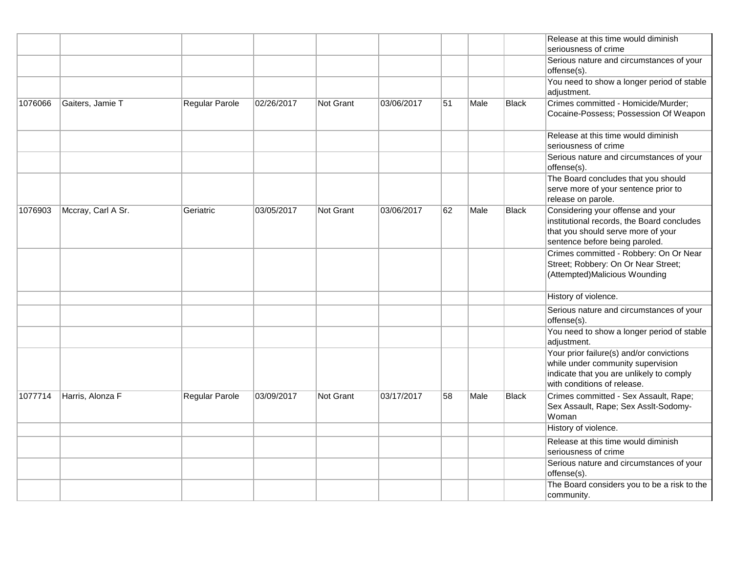|         |                    |                |            |                  |            |    |      |              | Release at this time would diminish<br>seriousness of crime                                                                                              |
|---------|--------------------|----------------|------------|------------------|------------|----|------|--------------|----------------------------------------------------------------------------------------------------------------------------------------------------------|
|         |                    |                |            |                  |            |    |      |              | Serious nature and circumstances of your<br>offense(s).                                                                                                  |
|         |                    |                |            |                  |            |    |      |              | You need to show a longer period of stable<br>adjustment.                                                                                                |
| 1076066 | Gaiters, Jamie T   | Regular Parole | 02/26/2017 | Not Grant        | 03/06/2017 | 51 | Male | <b>Black</b> | Crimes committed - Homicide/Murder;<br>Cocaine-Possess; Possession Of Weapon                                                                             |
|         |                    |                |            |                  |            |    |      |              | Release at this time would diminish<br>seriousness of crime                                                                                              |
|         |                    |                |            |                  |            |    |      |              | Serious nature and circumstances of your<br>offense(s).                                                                                                  |
|         |                    |                |            |                  |            |    |      |              | The Board concludes that you should<br>serve more of your sentence prior to<br>release on parole.                                                        |
| 1076903 | Mccray, Carl A Sr. | Geriatric      | 03/05/2017 | <b>Not Grant</b> | 03/06/2017 | 62 | Male | Black        | Considering your offense and your<br>institutional records, the Board concludes<br>that you should serve more of your<br>sentence before being paroled.  |
|         |                    |                |            |                  |            |    |      |              | Crimes committed - Robbery: On Or Near<br>Street; Robbery: On Or Near Street;<br>(Attempted)Malicious Wounding                                           |
|         |                    |                |            |                  |            |    |      |              | History of violence.                                                                                                                                     |
|         |                    |                |            |                  |            |    |      |              | Serious nature and circumstances of your<br>offense(s).                                                                                                  |
|         |                    |                |            |                  |            |    |      |              | You need to show a longer period of stable<br>adjustment.                                                                                                |
|         |                    |                |            |                  |            |    |      |              | Your prior failure(s) and/or convictions<br>while under community supervision<br>indicate that you are unlikely to comply<br>with conditions of release. |
| 1077714 | Harris, Alonza F   | Regular Parole | 03/09/2017 | <b>Not Grant</b> | 03/17/2017 | 58 | Male | Black        | Crimes committed - Sex Assault, Rape;<br>Sex Assault, Rape; Sex Asslt-Sodomy-<br>Woman                                                                   |
|         |                    |                |            |                  |            |    |      |              | History of violence.                                                                                                                                     |
|         |                    |                |            |                  |            |    |      |              | Release at this time would diminish<br>seriousness of crime                                                                                              |
|         |                    |                |            |                  |            |    |      |              | Serious nature and circumstances of your<br>offense(s).                                                                                                  |
|         |                    |                |            |                  |            |    |      |              | The Board considers you to be a risk to the<br>community.                                                                                                |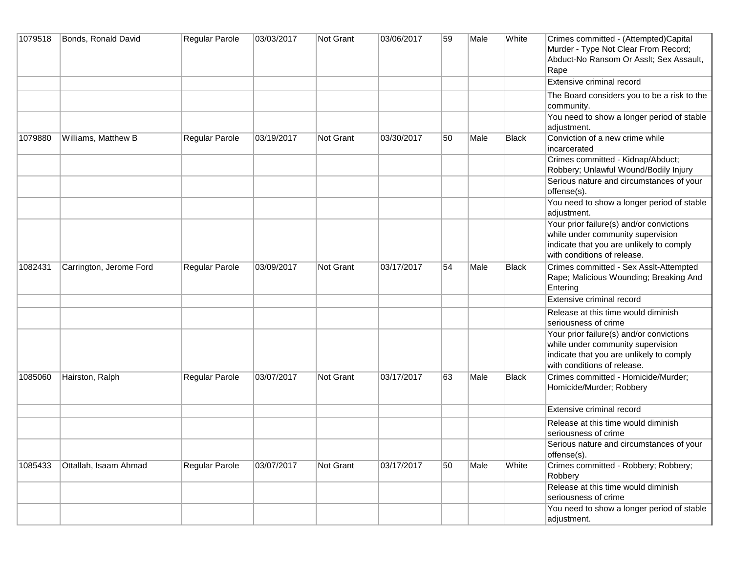| 1079518 | Bonds, Ronald David     | Regular Parole | 03/03/2017 | Not Grant        | 03/06/2017 | 59 | Male | White        | Crimes committed - (Attempted)Capital<br>Murder - Type Not Clear From Record;<br>Abduct-No Ransom Or Asslt; Sex Assault,<br>Rape                         |
|---------|-------------------------|----------------|------------|------------------|------------|----|------|--------------|----------------------------------------------------------------------------------------------------------------------------------------------------------|
|         |                         |                |            |                  |            |    |      |              | Extensive criminal record                                                                                                                                |
|         |                         |                |            |                  |            |    |      |              | The Board considers you to be a risk to the<br>community.                                                                                                |
|         |                         |                |            |                  |            |    |      |              | You need to show a longer period of stable<br>adjustment.                                                                                                |
| 1079880 | Williams, Matthew B     | Regular Parole | 03/19/2017 | Not Grant        | 03/30/2017 | 50 | Male | <b>Black</b> | Conviction of a new crime while<br>incarcerated                                                                                                          |
|         |                         |                |            |                  |            |    |      |              | Crimes committed - Kidnap/Abduct;<br>Robbery; Unlawful Wound/Bodily Injury                                                                               |
|         |                         |                |            |                  |            |    |      |              | Serious nature and circumstances of your<br>offense(s).                                                                                                  |
|         |                         |                |            |                  |            |    |      |              | You need to show a longer period of stable<br>adjustment.                                                                                                |
|         |                         |                |            |                  |            |    |      |              | Your prior failure(s) and/or convictions<br>while under community supervision<br>indicate that you are unlikely to comply<br>with conditions of release. |
| 1082431 | Carrington, Jerome Ford | Regular Parole | 03/09/2017 | Not Grant        | 03/17/2017 | 54 | Male | <b>Black</b> | Crimes committed - Sex Asslt-Attempted<br>Rape; Malicious Wounding; Breaking And<br>Entering                                                             |
|         |                         |                |            |                  |            |    |      |              | Extensive criminal record                                                                                                                                |
|         |                         |                |            |                  |            |    |      |              | Release at this time would diminish<br>seriousness of crime                                                                                              |
|         |                         |                |            |                  |            |    |      |              | Your prior failure(s) and/or convictions<br>while under community supervision<br>indicate that you are unlikely to comply<br>with conditions of release. |
| 1085060 | Hairston, Ralph         | Regular Parole | 03/07/2017 | <b>Not Grant</b> | 03/17/2017 | 63 | Male | <b>Black</b> | Crimes committed - Homicide/Murder;<br>Homicide/Murder; Robbery                                                                                          |
|         |                         |                |            |                  |            |    |      |              | Extensive criminal record                                                                                                                                |
|         |                         |                |            |                  |            |    |      |              | Release at this time would diminish<br>seriousness of crime                                                                                              |
|         |                         |                |            |                  |            |    |      |              | Serious nature and circumstances of your<br>offense(s).                                                                                                  |
| 1085433 | Ottallah, Isaam Ahmad   | Regular Parole | 03/07/2017 | <b>Not Grant</b> | 03/17/2017 | 50 | Male | White        | Crimes committed - Robbery; Robbery;<br>Robbery                                                                                                          |
|         |                         |                |            |                  |            |    |      |              | Release at this time would diminish<br>seriousness of crime                                                                                              |
|         |                         |                |            |                  |            |    |      |              | You need to show a longer period of stable<br>adjustment.                                                                                                |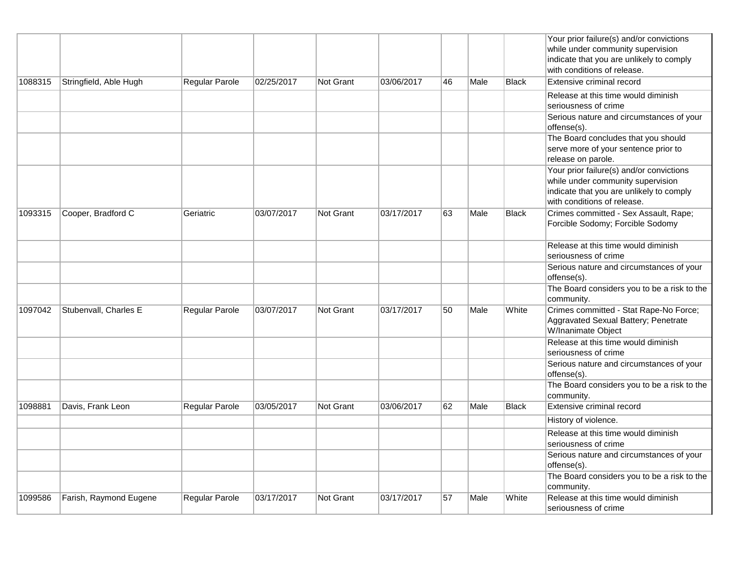|         |                        |                       |            |                  |            |    |      |              | Your prior failure(s) and/or convictions<br>while under community supervision<br>indicate that you are unlikely to comply<br>with conditions of release. |
|---------|------------------------|-----------------------|------------|------------------|------------|----|------|--------------|----------------------------------------------------------------------------------------------------------------------------------------------------------|
| 1088315 | Stringfield, Able Hugh | Regular Parole        | 02/25/2017 | Not Grant        | 03/06/2017 | 46 | Male | <b>Black</b> | Extensive criminal record                                                                                                                                |
|         |                        |                       |            |                  |            |    |      |              | Release at this time would diminish<br>seriousness of crime                                                                                              |
|         |                        |                       |            |                  |            |    |      |              | Serious nature and circumstances of your<br>offense(s).                                                                                                  |
|         |                        |                       |            |                  |            |    |      |              | The Board concludes that you should<br>serve more of your sentence prior to<br>release on parole.                                                        |
|         |                        |                       |            |                  |            |    |      |              | Your prior failure(s) and/or convictions<br>while under community supervision<br>indicate that you are unlikely to comply<br>with conditions of release. |
| 1093315 | Cooper, Bradford C     | Geriatric             | 03/07/2017 | Not Grant        | 03/17/2017 | 63 | Male | <b>Black</b> | Crimes committed - Sex Assault, Rape;<br>Forcible Sodomy; Forcible Sodomy                                                                                |
|         |                        |                       |            |                  |            |    |      |              | Release at this time would diminish<br>seriousness of crime                                                                                              |
|         |                        |                       |            |                  |            |    |      |              | Serious nature and circumstances of your<br>offense(s).                                                                                                  |
|         |                        |                       |            |                  |            |    |      |              | The Board considers you to be a risk to the<br>community.                                                                                                |
| 1097042 | Stubenvall, Charles E  | Regular Parole        | 03/07/2017 | Not Grant        | 03/17/2017 | 50 | Male | White        | Crimes committed - Stat Rape-No Force;<br>Aggravated Sexual Battery; Penetrate<br>W/Inanimate Object                                                     |
|         |                        |                       |            |                  |            |    |      |              | Release at this time would diminish<br>seriousness of crime                                                                                              |
|         |                        |                       |            |                  |            |    |      |              | Serious nature and circumstances of your<br>offense(s).                                                                                                  |
|         |                        |                       |            |                  |            |    |      |              | The Board considers you to be a risk to the<br>community.                                                                                                |
| 1098881 | Davis, Frank Leon      | Regular Parole        | 03/05/2017 | <b>Not Grant</b> | 03/06/2017 | 62 | Male | <b>Black</b> | Extensive criminal record                                                                                                                                |
|         |                        |                       |            |                  |            |    |      |              | History of violence.                                                                                                                                     |
|         |                        |                       |            |                  |            |    |      |              | Release at this time would diminish<br>seriousness of crime                                                                                              |
|         |                        |                       |            |                  |            |    |      |              | Serious nature and circumstances of your<br>offense(s).                                                                                                  |
|         |                        |                       |            |                  |            |    |      |              | The Board considers you to be a risk to the<br>community.                                                                                                |
| 1099586 | Farish, Raymond Eugene | <b>Regular Parole</b> | 03/17/2017 | Not Grant        | 03/17/2017 | 57 | Male | White        | Release at this time would diminish<br>seriousness of crime                                                                                              |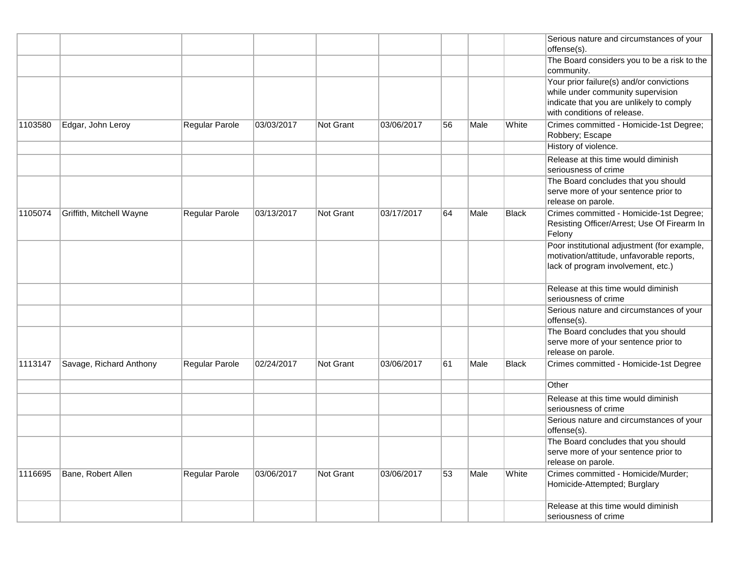|         |                          |                |            |                  |            |    |      |       | Serious nature and circumstances of your<br>offense(s).                                                                                                  |
|---------|--------------------------|----------------|------------|------------------|------------|----|------|-------|----------------------------------------------------------------------------------------------------------------------------------------------------------|
|         |                          |                |            |                  |            |    |      |       | The Board considers you to be a risk to the<br>community.                                                                                                |
|         |                          |                |            |                  |            |    |      |       | Your prior failure(s) and/or convictions<br>while under community supervision<br>indicate that you are unlikely to comply<br>with conditions of release. |
| 1103580 | Edgar, John Leroy        | Regular Parole | 03/03/2017 | Not Grant        | 03/06/2017 | 56 | Male | White | Crimes committed - Homicide-1st Degree;<br>Robbery; Escape                                                                                               |
|         |                          |                |            |                  |            |    |      |       | History of violence.                                                                                                                                     |
|         |                          |                |            |                  |            |    |      |       | Release at this time would diminish<br>seriousness of crime                                                                                              |
|         |                          |                |            |                  |            |    |      |       | The Board concludes that you should<br>serve more of your sentence prior to<br>release on parole.                                                        |
| 1105074 | Griffith, Mitchell Wayne | Regular Parole | 03/13/2017 | Not Grant        | 03/17/2017 | 64 | Male | Black | Crimes committed - Homicide-1st Degree;<br>Resisting Officer/Arrest; Use Of Firearm In<br>Felony                                                         |
|         |                          |                |            |                  |            |    |      |       | Poor institutional adjustment (for example,<br>motivation/attitude, unfavorable reports,<br>lack of program involvement, etc.)                           |
|         |                          |                |            |                  |            |    |      |       | Release at this time would diminish<br>seriousness of crime                                                                                              |
|         |                          |                |            |                  |            |    |      |       | Serious nature and circumstances of your<br>offense(s).                                                                                                  |
|         |                          |                |            |                  |            |    |      |       | The Board concludes that you should<br>serve more of your sentence prior to<br>release on parole.                                                        |
| 1113147 | Savage, Richard Anthony  | Regular Parole | 02/24/2017 | Not Grant        | 03/06/2017 | 61 | Male | Black | Crimes committed - Homicide-1st Degree                                                                                                                   |
|         |                          |                |            |                  |            |    |      |       | Other                                                                                                                                                    |
|         |                          |                |            |                  |            |    |      |       | Release at this time would diminish<br>seriousness of crime                                                                                              |
|         |                          |                |            |                  |            |    |      |       | Serious nature and circumstances of your<br>offense(s).                                                                                                  |
|         |                          |                |            |                  |            |    |      |       | The Board concludes that you should<br>serve more of your sentence prior to<br>release on parole.                                                        |
| 1116695 | Bane, Robert Allen       | Regular Parole | 03/06/2017 | <b>Not Grant</b> | 03/06/2017 | 53 | Male | White | Crimes committed - Homicide/Murder;<br>Homicide-Attempted; Burglary                                                                                      |
|         |                          |                |            |                  |            |    |      |       | Release at this time would diminish<br>seriousness of crime                                                                                              |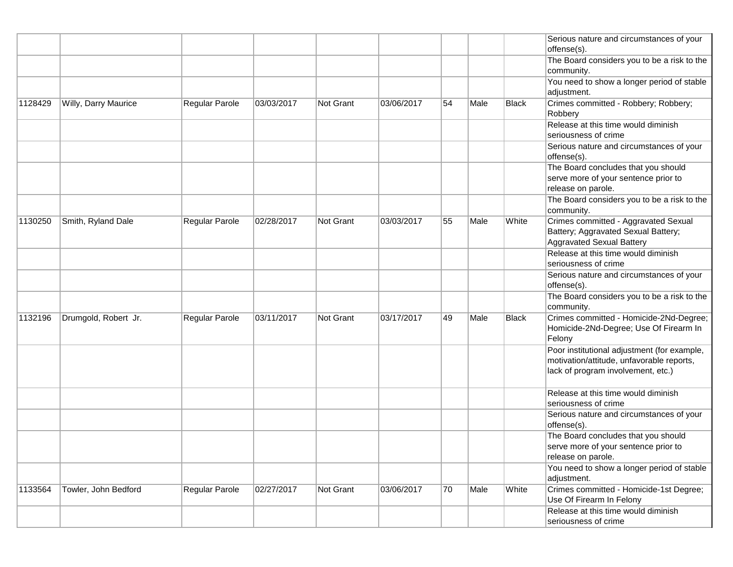|         |                      |                |            |           |            |    |      |       | Serious nature and circumstances of your<br>offense(s).                                                                        |
|---------|----------------------|----------------|------------|-----------|------------|----|------|-------|--------------------------------------------------------------------------------------------------------------------------------|
|         |                      |                |            |           |            |    |      |       | The Board considers you to be a risk to the<br>community.                                                                      |
|         |                      |                |            |           |            |    |      |       | You need to show a longer period of stable<br>adjustment.                                                                      |
| 1128429 | Willy, Darry Maurice | Regular Parole | 03/03/2017 | Not Grant | 03/06/2017 | 54 | Male | Black | Crimes committed - Robbery; Robbery;<br>Robbery                                                                                |
|         |                      |                |            |           |            |    |      |       | Release at this time would diminish<br>seriousness of crime                                                                    |
|         |                      |                |            |           |            |    |      |       | Serious nature and circumstances of your<br>offense(s).                                                                        |
|         |                      |                |            |           |            |    |      |       | The Board concludes that you should<br>serve more of your sentence prior to<br>release on parole.                              |
|         |                      |                |            |           |            |    |      |       | The Board considers you to be a risk to the<br>community.                                                                      |
| 1130250 | Smith, Ryland Dale   | Regular Parole | 02/28/2017 | Not Grant | 03/03/2017 | 55 | Male | White | Crimes committed - Aggravated Sexual<br>Battery; Aggravated Sexual Battery;<br><b>Aggravated Sexual Battery</b>                |
|         |                      |                |            |           |            |    |      |       | Release at this time would diminish<br>seriousness of crime                                                                    |
|         |                      |                |            |           |            |    |      |       | Serious nature and circumstances of your<br>offense(s).                                                                        |
|         |                      |                |            |           |            |    |      |       | The Board considers you to be a risk to the<br>community.                                                                      |
| 1132196 | Drumgold, Robert Jr. | Regular Parole | 03/11/2017 | Not Grant | 03/17/2017 | 49 | Male | Black | Crimes committed - Homicide-2Nd-Degree;<br>Homicide-2Nd-Degree; Use Of Firearm In<br>Felony                                    |
|         |                      |                |            |           |            |    |      |       | Poor institutional adjustment (for example,<br>motivation/attitude, unfavorable reports,<br>lack of program involvement, etc.) |
|         |                      |                |            |           |            |    |      |       | Release at this time would diminish<br>seriousness of crime                                                                    |
|         |                      |                |            |           |            |    |      |       | Serious nature and circumstances of your<br>offense(s).                                                                        |
|         |                      |                |            |           |            |    |      |       | The Board concludes that you should<br>serve more of your sentence prior to<br>release on parole.                              |
|         |                      |                |            |           |            |    |      |       | You need to show a longer period of stable<br>adjustment.                                                                      |
| 1133564 | Towler, John Bedford | Regular Parole | 02/27/2017 | Not Grant | 03/06/2017 | 70 | Male | White | Crimes committed - Homicide-1st Degree;<br>Use Of Firearm In Felony                                                            |
|         |                      |                |            |           |            |    |      |       | Release at this time would diminish<br>seriousness of crime                                                                    |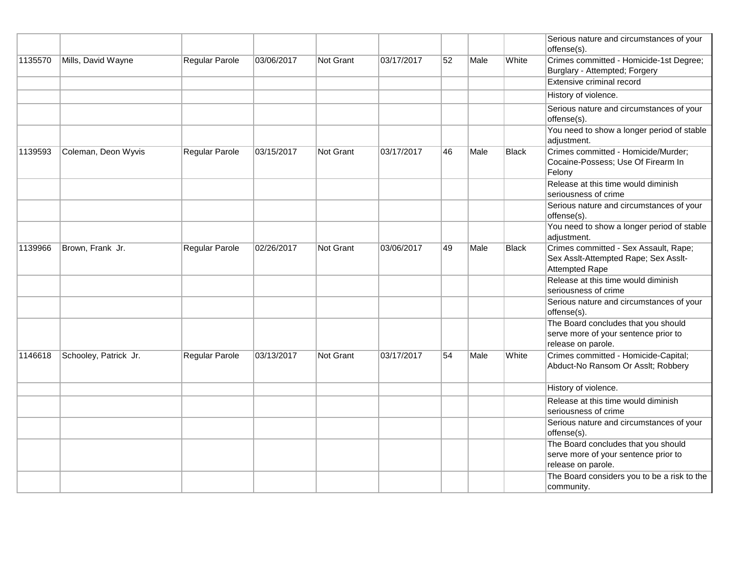|         |                       |                |            |                  |            |    |      |              | Serious nature and circumstances of your<br>offense(s).                                           |
|---------|-----------------------|----------------|------------|------------------|------------|----|------|--------------|---------------------------------------------------------------------------------------------------|
| 1135570 | Mills, David Wayne    | Regular Parole | 03/06/2017 | <b>Not Grant</b> | 03/17/2017 | 52 | Male | White        | Crimes committed - Homicide-1st Degree;<br>Burglary - Attempted; Forgery                          |
|         |                       |                |            |                  |            |    |      |              | Extensive criminal record                                                                         |
|         |                       |                |            |                  |            |    |      |              | History of violence.                                                                              |
|         |                       |                |            |                  |            |    |      |              | Serious nature and circumstances of your<br>offense(s).                                           |
|         |                       |                |            |                  |            |    |      |              | You need to show a longer period of stable<br>adjustment.                                         |
| 1139593 | Coleman, Deon Wyvis   | Regular Parole | 03/15/2017 | Not Grant        | 03/17/2017 | 46 | Male | Black        | Crimes committed - Homicide/Murder;<br>Cocaine-Possess; Use Of Firearm In<br>Felony               |
|         |                       |                |            |                  |            |    |      |              | Release at this time would diminish<br>seriousness of crime                                       |
|         |                       |                |            |                  |            |    |      |              | Serious nature and circumstances of your<br>offense(s).                                           |
|         |                       |                |            |                  |            |    |      |              | You need to show a longer period of stable<br>adjustment.                                         |
| 1139966 | Brown, Frank Jr.      | Regular Parole | 02/26/2017 | <b>Not Grant</b> | 03/06/2017 | 49 | Male | <b>Black</b> | Crimes committed - Sex Assault, Rape;<br>Sex Asslt-Attempted Rape; Sex Asslt-<br>Attempted Rape   |
|         |                       |                |            |                  |            |    |      |              | Release at this time would diminish<br>seriousness of crime                                       |
|         |                       |                |            |                  |            |    |      |              | Serious nature and circumstances of your<br>offense(s).                                           |
|         |                       |                |            |                  |            |    |      |              | The Board concludes that you should<br>serve more of your sentence prior to<br>release on parole. |
| 1146618 | Schooley, Patrick Jr. | Regular Parole | 03/13/2017 | <b>Not Grant</b> | 03/17/2017 | 54 | Male | White        | Crimes committed - Homicide-Capital;<br>Abduct-No Ransom Or Asslt; Robbery                        |
|         |                       |                |            |                  |            |    |      |              | History of violence.                                                                              |
|         |                       |                |            |                  |            |    |      |              | Release at this time would diminish<br>seriousness of crime                                       |
|         |                       |                |            |                  |            |    |      |              | Serious nature and circumstances of your<br>offense(s).                                           |
|         |                       |                |            |                  |            |    |      |              | The Board concludes that you should<br>serve more of your sentence prior to<br>release on parole. |
|         |                       |                |            |                  |            |    |      |              | The Board considers you to be a risk to the<br>community.                                         |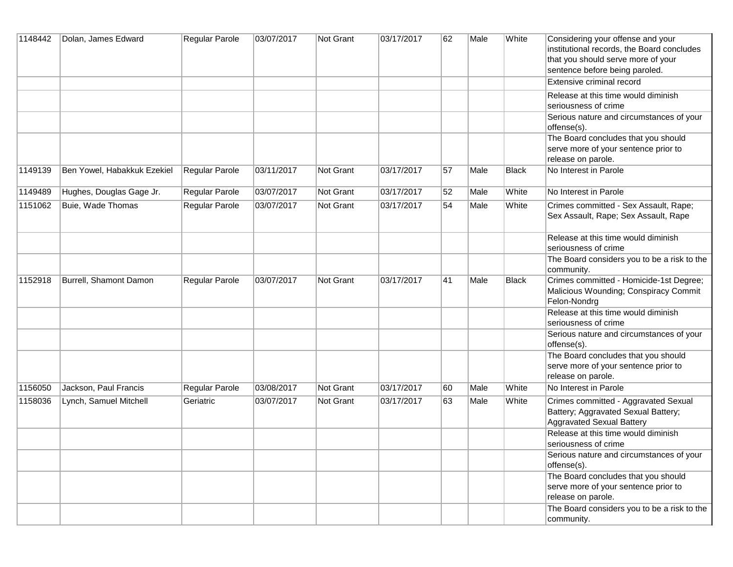| 1148442 | Dolan, James Edward         | Regular Parole        | 03/07/2017 | Not Grant | 03/17/2017 | 62 | Male | White        | Considering your offense and your<br>institutional records, the Board concludes<br>that you should serve more of your<br>sentence before being paroled. |
|---------|-----------------------------|-----------------------|------------|-----------|------------|----|------|--------------|---------------------------------------------------------------------------------------------------------------------------------------------------------|
|         |                             |                       |            |           |            |    |      |              | Extensive criminal record                                                                                                                               |
|         |                             |                       |            |           |            |    |      |              | Release at this time would diminish<br>seriousness of crime                                                                                             |
|         |                             |                       |            |           |            |    |      |              | Serious nature and circumstances of your<br>offense(s).                                                                                                 |
|         |                             |                       |            |           |            |    |      |              | The Board concludes that you should<br>serve more of your sentence prior to<br>release on parole.                                                       |
| 1149139 | Ben Yowel, Habakkuk Ezekiel | Regular Parole        | 03/11/2017 | Not Grant | 03/17/2017 | 57 | Male | <b>Black</b> | No Interest in Parole                                                                                                                                   |
| 1149489 | Hughes, Douglas Gage Jr.    | <b>Regular Parole</b> | 03/07/2017 | Not Grant | 03/17/2017 | 52 | Male | White        | No Interest in Parole                                                                                                                                   |
| 1151062 | Buie, Wade Thomas           | Regular Parole        | 03/07/2017 | Not Grant | 03/17/2017 | 54 | Male | White        | Crimes committed - Sex Assault, Rape;<br>Sex Assault, Rape; Sex Assault, Rape                                                                           |
|         |                             |                       |            |           |            |    |      |              | Release at this time would diminish<br>seriousness of crime                                                                                             |
|         |                             |                       |            |           |            |    |      |              | The Board considers you to be a risk to the<br>community.                                                                                               |
| 1152918 | Burrell, Shamont Damon      | Regular Parole        | 03/07/2017 | Not Grant | 03/17/2017 | 41 | Male | <b>Black</b> | Crimes committed - Homicide-1st Degree;<br>Malicious Wounding; Conspiracy Commit<br>Felon-Nondrg                                                        |
|         |                             |                       |            |           |            |    |      |              | Release at this time would diminish<br>seriousness of crime                                                                                             |
|         |                             |                       |            |           |            |    |      |              | Serious nature and circumstances of your<br>offense(s).                                                                                                 |
|         |                             |                       |            |           |            |    |      |              | The Board concludes that you should<br>serve more of your sentence prior to<br>release on parole.                                                       |
| 1156050 | Jackson, Paul Francis       | Regular Parole        | 03/08/2017 | Not Grant | 03/17/2017 | 60 | Male | White        | No Interest in Parole                                                                                                                                   |
| 1158036 | Lynch, Samuel Mitchell      | Geriatric             | 03/07/2017 | Not Grant | 03/17/2017 | 63 | Male | White        | Crimes committed - Aggravated Sexual<br>Battery; Aggravated Sexual Battery;<br><b>Aggravated Sexual Battery</b>                                         |
|         |                             |                       |            |           |            |    |      |              | Release at this time would diminish<br>seriousness of crime                                                                                             |
|         |                             |                       |            |           |            |    |      |              | Serious nature and circumstances of your<br>offense(s).                                                                                                 |
|         |                             |                       |            |           |            |    |      |              | The Board concludes that you should<br>serve more of your sentence prior to<br>release on parole.                                                       |
|         |                             |                       |            |           |            |    |      |              | The Board considers you to be a risk to the<br>community.                                                                                               |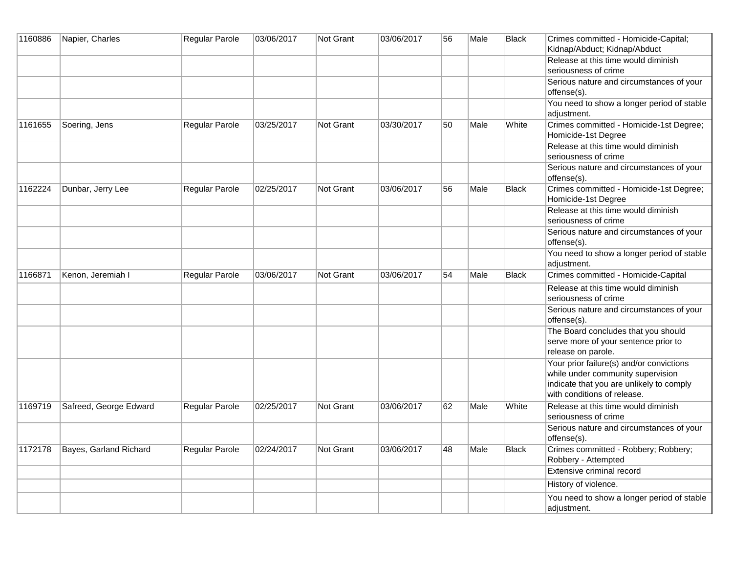| 1160886 | Napier, Charles        | Regular Parole | 03/06/2017 | Not Grant        | 03/06/2017 | 56 | Male | Black        | Crimes committed - Homicide-Capital;<br>Kidnap/Abduct; Kidnap/Abduct                                                                                     |
|---------|------------------------|----------------|------------|------------------|------------|----|------|--------------|----------------------------------------------------------------------------------------------------------------------------------------------------------|
|         |                        |                |            |                  |            |    |      |              | Release at this time would diminish<br>seriousness of crime                                                                                              |
|         |                        |                |            |                  |            |    |      |              | Serious nature and circumstances of your<br>offense(s).                                                                                                  |
|         |                        |                |            |                  |            |    |      |              | You need to show a longer period of stable<br>adjustment.                                                                                                |
| 1161655 | Soering, Jens          | Regular Parole | 03/25/2017 | Not Grant        | 03/30/2017 | 50 | Male | White        | Crimes committed - Homicide-1st Degree;<br>Homicide-1st Degree                                                                                           |
|         |                        |                |            |                  |            |    |      |              | Release at this time would diminish<br>seriousness of crime                                                                                              |
|         |                        |                |            |                  |            |    |      |              | Serious nature and circumstances of your<br>offense(s).                                                                                                  |
| 1162224 | Dunbar, Jerry Lee      | Regular Parole | 02/25/2017 | <b>Not Grant</b> | 03/06/2017 | 56 | Male | <b>Black</b> | Crimes committed - Homicide-1st Degree;<br>Homicide-1st Degree                                                                                           |
|         |                        |                |            |                  |            |    |      |              | Release at this time would diminish<br>seriousness of crime                                                                                              |
|         |                        |                |            |                  |            |    |      |              | Serious nature and circumstances of your<br>offense(s).                                                                                                  |
|         |                        |                |            |                  |            |    |      |              | You need to show a longer period of stable<br>adjustment.                                                                                                |
| 1166871 | Kenon, Jeremiah I      | Regular Parole | 03/06/2017 | Not Grant        | 03/06/2017 | 54 | Male | <b>Black</b> | Crimes committed - Homicide-Capital                                                                                                                      |
|         |                        |                |            |                  |            |    |      |              | Release at this time would diminish<br>seriousness of crime                                                                                              |
|         |                        |                |            |                  |            |    |      |              | Serious nature and circumstances of your<br>offense(s).                                                                                                  |
|         |                        |                |            |                  |            |    |      |              | The Board concludes that you should<br>serve more of your sentence prior to<br>release on parole.                                                        |
|         |                        |                |            |                  |            |    |      |              | Your prior failure(s) and/or convictions<br>while under community supervision<br>indicate that you are unlikely to comply<br>with conditions of release. |
| 1169719 | Safreed, George Edward | Regular Parole | 02/25/2017 | Not Grant        | 03/06/2017 | 62 | Male | White        | Release at this time would diminish<br>seriousness of crime                                                                                              |
|         |                        |                |            |                  |            |    |      |              | Serious nature and circumstances of your<br>offense(s).                                                                                                  |
| 1172178 | Bayes, Garland Richard | Regular Parole | 02/24/2017 | Not Grant        | 03/06/2017 | 48 | Male | <b>Black</b> | Crimes committed - Robbery; Robbery;<br>Robbery - Attempted                                                                                              |
|         |                        |                |            |                  |            |    |      |              | Extensive criminal record                                                                                                                                |
|         |                        |                |            |                  |            |    |      |              | History of violence.                                                                                                                                     |
|         |                        |                |            |                  |            |    |      |              | You need to show a longer period of stable<br>adjustment.                                                                                                |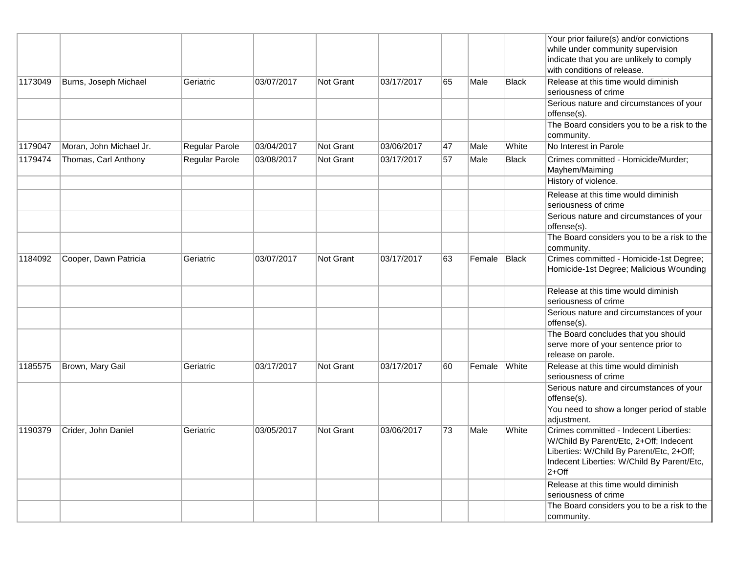|         |                         |                |            |                  |            |    |        |              | Your prior failure(s) and/or convictions<br>while under community supervision<br>indicate that you are unlikely to comply<br>with conditions of release.                              |
|---------|-------------------------|----------------|------------|------------------|------------|----|--------|--------------|---------------------------------------------------------------------------------------------------------------------------------------------------------------------------------------|
| 1173049 | Burns, Joseph Michael   | Geriatric      | 03/07/2017 | <b>Not Grant</b> | 03/17/2017 | 65 | Male   | Black        | Release at this time would diminish<br>seriousness of crime                                                                                                                           |
|         |                         |                |            |                  |            |    |        |              | Serious nature and circumstances of your<br>offense(s).                                                                                                                               |
|         |                         |                |            |                  |            |    |        |              | The Board considers you to be a risk to the<br>community.                                                                                                                             |
| 1179047 | Moran, John Michael Jr. | Regular Parole | 03/04/2017 | Not Grant        | 03/06/2017 | 47 | Male   | White        | No Interest in Parole                                                                                                                                                                 |
| 1179474 | Thomas, Carl Anthony    | Regular Parole | 03/08/2017 | Not Grant        | 03/17/2017 | 57 | Male   | <b>Black</b> | Crimes committed - Homicide/Murder;<br>Mayhem/Maiming                                                                                                                                 |
|         |                         |                |            |                  |            |    |        |              | History of violence.                                                                                                                                                                  |
|         |                         |                |            |                  |            |    |        |              | Release at this time would diminish<br>seriousness of crime                                                                                                                           |
|         |                         |                |            |                  |            |    |        |              | Serious nature and circumstances of your<br>offense(s).                                                                                                                               |
|         |                         |                |            |                  |            |    |        |              | The Board considers you to be a risk to the<br>community.                                                                                                                             |
| 1184092 | Cooper, Dawn Patricia   | Geriatric      | 03/07/2017 | <b>Not Grant</b> | 03/17/2017 | 63 | Female | Black        | Crimes committed - Homicide-1st Degree;<br>Homicide-1st Degree; Malicious Wounding                                                                                                    |
|         |                         |                |            |                  |            |    |        |              | Release at this time would diminish<br>seriousness of crime                                                                                                                           |
|         |                         |                |            |                  |            |    |        |              | Serious nature and circumstances of your<br>offense(s).                                                                                                                               |
|         |                         |                |            |                  |            |    |        |              | The Board concludes that you should<br>serve more of your sentence prior to<br>release on parole.                                                                                     |
| 1185575 | Brown, Mary Gail        | Geriatric      | 03/17/2017 | Not Grant        | 03/17/2017 | 60 | Female | White        | Release at this time would diminish<br>seriousness of crime                                                                                                                           |
|         |                         |                |            |                  |            |    |        |              | Serious nature and circumstances of your<br>offense(s).                                                                                                                               |
|         |                         |                |            |                  |            |    |        |              | You need to show a longer period of stable<br>adjustment.                                                                                                                             |
| 1190379 | Crider, John Daniel     | Geriatric      | 03/05/2017 | <b>Not Grant</b> | 03/06/2017 | 73 | Male   | White        | Crimes committed - Indecent Liberties:<br>W/Child By Parent/Etc, 2+Off; Indecent<br>Liberties: W/Child By Parent/Etc, 2+Off;<br>Indecent Liberties: W/Child By Parent/Etc,<br>$2+Off$ |
|         |                         |                |            |                  |            |    |        |              | Release at this time would diminish<br>seriousness of crime                                                                                                                           |
|         |                         |                |            |                  |            |    |        |              | The Board considers you to be a risk to the<br>community.                                                                                                                             |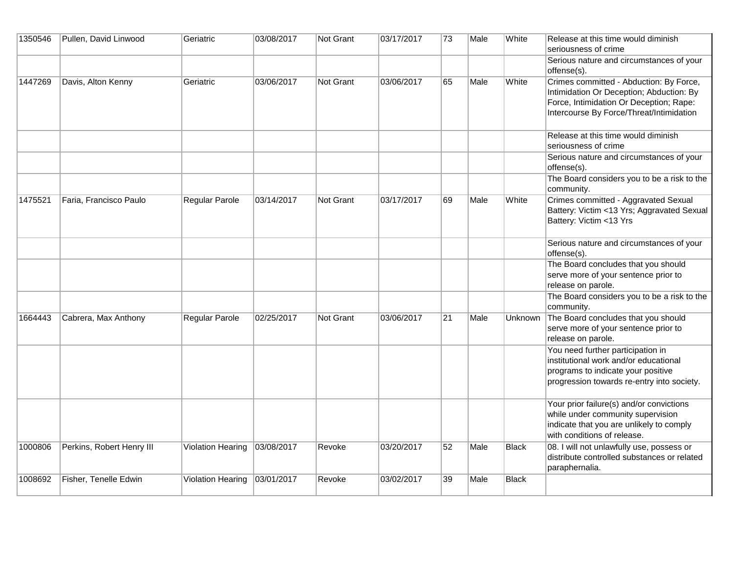| 1350546 | Pullen, David Linwood     | Geriatric             | 03/08/2017 | Not Grant        | 03/17/2017 | 73 | Male | White        | Release at this time would diminish<br>seriousness of crime                                                                                                                |
|---------|---------------------------|-----------------------|------------|------------------|------------|----|------|--------------|----------------------------------------------------------------------------------------------------------------------------------------------------------------------------|
|         |                           |                       |            |                  |            |    |      |              | Serious nature and circumstances of your<br>offense(s).                                                                                                                    |
| 1447269 | Davis, Alton Kenny        | Geriatric             | 03/06/2017 | <b>Not Grant</b> | 03/06/2017 | 65 | Male | White        | Crimes committed - Abduction: By Force,<br>Intimidation Or Deception; Abduction: By<br>Force, Intimidation Or Deception; Rape:<br>Intercourse By Force/Threat/Intimidation |
|         |                           |                       |            |                  |            |    |      |              | Release at this time would diminish<br>seriousness of crime                                                                                                                |
|         |                           |                       |            |                  |            |    |      |              | Serious nature and circumstances of your<br>offense(s).                                                                                                                    |
|         |                           |                       |            |                  |            |    |      |              | The Board considers you to be a risk to the<br>community.                                                                                                                  |
| 1475521 | Faria, Francisco Paulo    | <b>Regular Parole</b> | 03/14/2017 | <b>Not Grant</b> | 03/17/2017 | 69 | Male | White        | Crimes committed - Aggravated Sexual<br>Battery: Victim <13 Yrs; Aggravated Sexual<br>Battery: Victim <13 Yrs                                                              |
|         |                           |                       |            |                  |            |    |      |              | Serious nature and circumstances of your<br>offense(s).                                                                                                                    |
|         |                           |                       |            |                  |            |    |      |              | The Board concludes that you should<br>serve more of your sentence prior to<br>release on parole.                                                                          |
|         |                           |                       |            |                  |            |    |      |              | The Board considers you to be a risk to the<br>community.                                                                                                                  |
| 1664443 | Cabrera, Max Anthony      | Regular Parole        | 02/25/2017 | Not Grant        | 03/06/2017 | 21 | Male | Unknown      | The Board concludes that you should<br>serve more of your sentence prior to<br>release on parole.                                                                          |
|         |                           |                       |            |                  |            |    |      |              | You need further participation in<br>institutional work and/or educational<br>programs to indicate your positive<br>progression towards re-entry into society.             |
|         |                           |                       |            |                  |            |    |      |              | Your prior failure(s) and/or convictions<br>while under community supervision<br>indicate that you are unlikely to comply<br>with conditions of release.                   |
| 1000806 | Perkins, Robert Henry III | Violation Hearing     | 03/08/2017 | Revoke           | 03/20/2017 | 52 | Male | <b>Black</b> | 08. I will not unlawfully use, possess or<br>distribute controlled substances or related<br>paraphernalia.                                                                 |
| 1008692 | Fisher, Tenelle Edwin     | Violation Hearing     | 03/01/2017 | Revoke           | 03/02/2017 | 39 | Male | <b>Black</b> |                                                                                                                                                                            |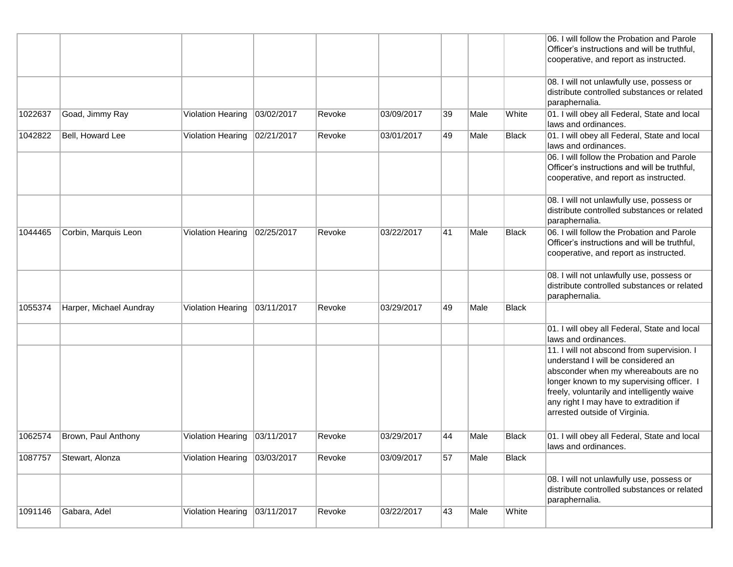|         |                         |                                |            |        |            |    |      |              | 06. I will follow the Probation and Parole<br>Officer's instructions and will be truthful,<br>cooperative, and report as instructed.                                                                                                                                                            |
|---------|-------------------------|--------------------------------|------------|--------|------------|----|------|--------------|-------------------------------------------------------------------------------------------------------------------------------------------------------------------------------------------------------------------------------------------------------------------------------------------------|
|         |                         |                                |            |        |            |    |      |              | 08. I will not unlawfully use, possess or<br>distribute controlled substances or related<br>paraphernalia.                                                                                                                                                                                      |
| 1022637 | Goad, Jimmy Ray         | Violation Hearing   03/02/2017 |            | Revoke | 03/09/2017 | 39 | Male | White        | 01. I will obey all Federal, State and local<br>laws and ordinances.                                                                                                                                                                                                                            |
| 1042822 | Bell, Howard Lee        | Violation Hearing   02/21/2017 |            | Revoke | 03/01/2017 | 49 | Male | <b>Black</b> | 01. I will obey all Federal, State and local<br>laws and ordinances.                                                                                                                                                                                                                            |
|         |                         |                                |            |        |            |    |      |              | 06. I will follow the Probation and Parole<br>Officer's instructions and will be truthful,<br>cooperative, and report as instructed.                                                                                                                                                            |
|         |                         |                                |            |        |            |    |      |              | 08. I will not unlawfully use, possess or<br>distribute controlled substances or related<br>paraphernalia.                                                                                                                                                                                      |
| 1044465 | Corbin, Marquis Leon    | Violation Hearing              | 02/25/2017 | Revoke | 03/22/2017 | 41 | Male | Black        | 06. I will follow the Probation and Parole<br>Officer's instructions and will be truthful,<br>cooperative, and report as instructed.                                                                                                                                                            |
|         |                         |                                |            |        |            |    |      |              | 08. I will not unlawfully use, possess or<br>distribute controlled substances or related<br>paraphernalia.                                                                                                                                                                                      |
| 1055374 | Harper, Michael Aundray | Violation Hearing 03/11/2017   |            | Revoke | 03/29/2017 | 49 | Male | Black        |                                                                                                                                                                                                                                                                                                 |
|         |                         |                                |            |        |            |    |      |              | 01. I will obey all Federal, State and local<br>laws and ordinances.                                                                                                                                                                                                                            |
|         |                         |                                |            |        |            |    |      |              | 11. I will not abscond from supervision. I<br>understand I will be considered an<br>absconder when my whereabouts are no<br>longer known to my supervising officer. I<br>freely, voluntarily and intelligently waive<br>any right I may have to extradition if<br>arrested outside of Virginia. |
| 1062574 | Brown, Paul Anthony     | Violation Hearing 03/11/2017   |            | Revoke | 03/29/2017 | 44 | Male | Black        | 01. I will obey all Federal, State and local<br>laws and ordinances.                                                                                                                                                                                                                            |
| 1087757 | Stewart, Alonza         | Violation Hearing              | 03/03/2017 | Revoke | 03/09/2017 | 57 | Male | <b>Black</b> |                                                                                                                                                                                                                                                                                                 |
|         |                         |                                |            |        |            |    |      |              | 08. I will not unlawfully use, possess or<br>distribute controlled substances or related<br>paraphernalia.                                                                                                                                                                                      |
| 1091146 | Gabara, Adel            | Violation Hearing              | 03/11/2017 | Revoke | 03/22/2017 | 43 | Male | White        |                                                                                                                                                                                                                                                                                                 |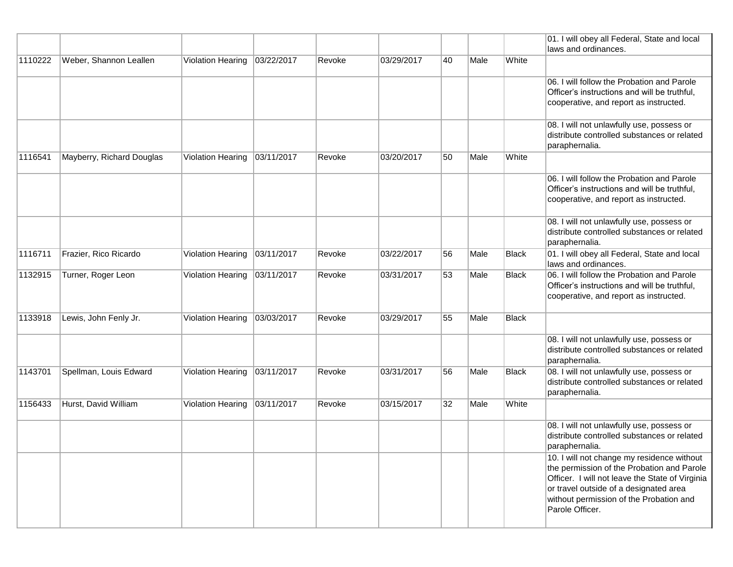|         |                           |                   |            |        |            |    |      |              | 01. I will obey all Federal, State and local<br>laws and ordinances.                          |
|---------|---------------------------|-------------------|------------|--------|------------|----|------|--------------|-----------------------------------------------------------------------------------------------|
| 1110222 | Weber, Shannon Leallen    | Violation Hearing | 03/22/2017 | Revoke | 03/29/2017 | 40 | Male | White        |                                                                                               |
|         |                           |                   |            |        |            |    |      |              |                                                                                               |
|         |                           |                   |            |        |            |    |      |              | 06. I will follow the Probation and Parole<br>Officer's instructions and will be truthful,    |
|         |                           |                   |            |        |            |    |      |              | cooperative, and report as instructed.                                                        |
|         |                           |                   |            |        |            |    |      |              | 08. I will not unlawfully use, possess or                                                     |
|         |                           |                   |            |        |            |    |      |              | distribute controlled substances or related<br>paraphernalia.                                 |
| 1116541 | Mayberry, Richard Douglas | Violation Hearing | 03/11/2017 | Revoke | 03/20/2017 | 50 | Male | White        |                                                                                               |
|         |                           |                   |            |        |            |    |      |              | 06. I will follow the Probation and Parole                                                    |
|         |                           |                   |            |        |            |    |      |              | Officer's instructions and will be truthful,<br>cooperative, and report as instructed.        |
|         |                           |                   |            |        |            |    |      |              | 08. I will not unlawfully use, possess or                                                     |
|         |                           |                   |            |        |            |    |      |              | distribute controlled substances or related<br>paraphernalia.                                 |
| 1116711 | Frazier, Rico Ricardo     | Violation Hearing | 03/11/2017 | Revoke | 03/22/2017 | 56 | Male | <b>Black</b> | 01. I will obey all Federal, State and local                                                  |
| 1132915 | Turner, Roger Leon        | Violation Hearing | 03/11/2017 | Revoke | 03/31/2017 | 53 | Male | <b>Black</b> | laws and ordinances.<br>06. I will follow the Probation and Parole                            |
|         |                           |                   |            |        |            |    |      |              | Officer's instructions and will be truthful,                                                  |
|         |                           |                   |            |        |            |    |      |              | cooperative, and report as instructed.                                                        |
| 1133918 | Lewis, John Fenly Jr.     | Violation Hearing | 03/03/2017 | Revoke | 03/29/2017 | 55 | Male | <b>Black</b> |                                                                                               |
|         |                           |                   |            |        |            |    |      |              | 08. I will not unlawfully use, possess or                                                     |
|         |                           |                   |            |        |            |    |      |              | distribute controlled substances or related<br>paraphernalia.                                 |
| 1143701 | Spellman, Louis Edward    | Violation Hearing | 03/11/2017 | Revoke | 03/31/2017 | 56 | Male | Black        | 08. I will not unlawfully use, possess or<br>distribute controlled substances or related      |
|         |                           |                   |            |        |            |    |      |              | paraphernalia.                                                                                |
| 1156433 | Hurst, David William      | Violation Hearing | 03/11/2017 | Revoke | 03/15/2017 | 32 | Male | White        |                                                                                               |
|         |                           |                   |            |        |            |    |      |              | 08. I will not unlawfully use, possess or                                                     |
|         |                           |                   |            |        |            |    |      |              | distribute controlled substances or related<br>paraphernalia.                                 |
|         |                           |                   |            |        |            |    |      |              | 10. I will not change my residence without                                                    |
|         |                           |                   |            |        |            |    |      |              | the permission of the Probation and Parole<br>Officer. I will not leave the State of Virginia |
|         |                           |                   |            |        |            |    |      |              | or travel outside of a designated area                                                        |
|         |                           |                   |            |        |            |    |      |              | without permission of the Probation and<br>Parole Officer.                                    |
|         |                           |                   |            |        |            |    |      |              |                                                                                               |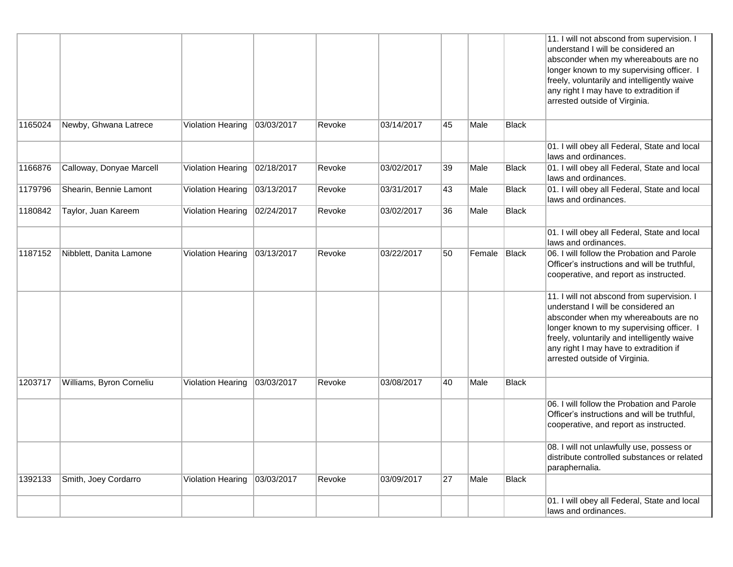|         |                          |                          |            |        |            |    |        |              | 11. I will not abscond from supervision. I<br>understand I will be considered an<br>absconder when my whereabouts are no<br>longer known to my supervising officer. I<br>freely, voluntarily and intelligently waive<br>any right I may have to extradition if<br>arrested outside of Virginia. |
|---------|--------------------------|--------------------------|------------|--------|------------|----|--------|--------------|-------------------------------------------------------------------------------------------------------------------------------------------------------------------------------------------------------------------------------------------------------------------------------------------------|
| 1165024 | Newby, Ghwana Latrece    | Violation Hearing        | 03/03/2017 | Revoke | 03/14/2017 | 45 | Male   | Black        |                                                                                                                                                                                                                                                                                                 |
|         |                          |                          |            |        |            |    |        |              | 01. I will obey all Federal, State and local<br>laws and ordinances.                                                                                                                                                                                                                            |
| 1166876 | Calloway, Donyae Marcell | Violation Hearing        | 02/18/2017 | Revoke | 03/02/2017 | 39 | Male   | <b>Black</b> | 01. I will obey all Federal, State and local<br>laws and ordinances.                                                                                                                                                                                                                            |
| 1179796 | Shearin, Bennie Lamont   | Violation Hearing        | 03/13/2017 | Revoke | 03/31/2017 | 43 | Male   | <b>Black</b> | 01. I will obey all Federal, State and local<br>laws and ordinances.                                                                                                                                                                                                                            |
| 1180842 | Taylor, Juan Kareem      | <b>Violation Hearing</b> | 02/24/2017 | Revoke | 03/02/2017 | 36 | Male   | <b>Black</b> |                                                                                                                                                                                                                                                                                                 |
|         |                          |                          |            |        |            |    |        |              | 01. I will obey all Federal, State and local<br>laws and ordinances.                                                                                                                                                                                                                            |
| 1187152 | Nibblett, Danita Lamone  | Violation Hearing        | 03/13/2017 | Revoke | 03/22/2017 | 50 | Female | <b>Black</b> | 06. I will follow the Probation and Parole<br>Officer's instructions and will be truthful,<br>cooperative, and report as instructed.                                                                                                                                                            |
|         |                          |                          |            |        |            |    |        |              | 11. I will not abscond from supervision. I<br>understand I will be considered an<br>absconder when my whereabouts are no<br>longer known to my supervising officer. I<br>freely, voluntarily and intelligently waive<br>any right I may have to extradition if<br>arrested outside of Virginia. |
| 1203717 | Williams, Byron Corneliu | Violation Hearing        | 03/03/2017 | Revoke | 03/08/2017 | 40 | Male   | Black        |                                                                                                                                                                                                                                                                                                 |
|         |                          |                          |            |        |            |    |        |              | 06. I will follow the Probation and Parole<br>Officer's instructions and will be truthful,<br>cooperative, and report as instructed.                                                                                                                                                            |
|         |                          |                          |            |        |            |    |        |              | 08. I will not unlawfully use, possess or<br>distribute controlled substances or related<br>paraphernalia.                                                                                                                                                                                      |
| 1392133 | Smith, Joey Cordarro     | <b>Violation Hearing</b> | 03/03/2017 | Revoke | 03/09/2017 | 27 | Male   | <b>Black</b> |                                                                                                                                                                                                                                                                                                 |
|         |                          |                          |            |        |            |    |        |              | 01. I will obey all Federal, State and local<br>laws and ordinances.                                                                                                                                                                                                                            |